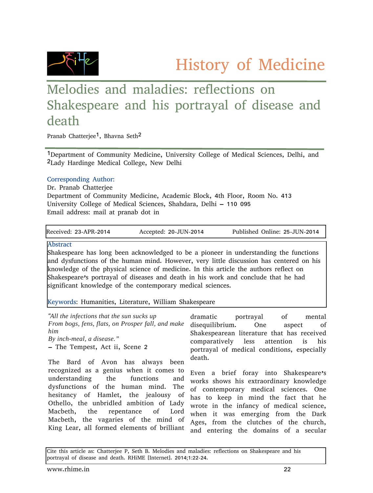History of Medicine



## Melodies and maladies: reflections on Shakespeare and his portrayal of disease and death

Pranab Chatterjee<sup>1</sup>, Bhavna Seth<sup>2</sup>

1Department of Community Medicine, University College of Medical Sciences, Delhi, and 2Lady Hardinge Medical College, New Delhi

## Corresponding Author:

Dr. Pranab Chatterjee Department of Community Medicine, Academic Block, 4th Floor, Room No. 413 University College of Medical Sciences, Shahdara, Delhi – 110 095 Email address: mail at pranab dot in

| Received: 23-APR-2014 | Accepted: 20-JUN-2014 | Published Online: 25-JUN-2014 |
|-----------------------|-----------------------|-------------------------------|
|                       |                       |                               |

Abstract

Shakespeare has long been acknowledged to be a pioneer in understanding the functions and dysfunctions of the human mind. However, very little discussion has centered on his knowledge of the physical science of medicine. In this article the authors reflect on Shakespeare's portrayal of diseases and death in his work and conclude that he had significant knowledge of the contemporary medical sciences.

Keywords: Humanities, Literature, William Shakespeare

| "All the infections that the sun sucks up         | dramatic<br>portrayal of<br>mental                                            |
|---------------------------------------------------|-------------------------------------------------------------------------------|
| From bogs, fens, flats, on Prosper fall, and make | disequilibrium. One<br>aspect of                                              |
| him.                                              | Shakespearean literature that has received                                    |
| By inch-meal, a disease."                         | comparatively less attention is his                                           |
| - The Tempest, Act ii, Scene 2                    | portrayal of medical conditions, especially                                   |
| The Bard of Avon has always been                  | death.                                                                        |
| $\mu$ ndovetonding the functions and              | recognized as a genius when it comes to Even a brief foray into Shakespeare's |

understanding the functions and dysfunctions of the human mind. The hesitancy of Hamlet, the jealousy of Othello, the unbridled ambition of Lady Macbeth, the repentance of Lord Macbeth, the vagaries of the mind of King Lear, all formed elements of brilliant

works shows his extraordinary knowledge of contemporary medical sciences. One has to keep in mind the fact that he wrote in the infancy of medical science, when it was emerging from the Dark Ages, from the clutches of the church, and entering the domains of a secular

Cite this article as: Chatterjee P, Seth B. Melodies and maladies: reflections on Shakespeare and his portrayal of disease and death. RHiME [Internet]. 2014;1:22-24.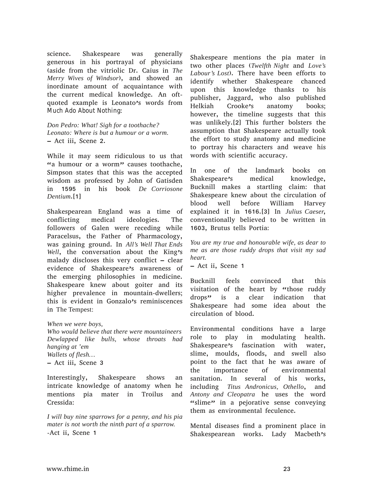science. Shakespeare was generally generous in his portrayal of physicians (aside from the vitriolic Dr. Caius in *The Merry Wives of Windsor*), and showed an inordinate amount of acquaintance with the current medical knowledge. An oftquoted example is Leonato's words from *Much Ado About Nothing*:

*Don Pedro: What! Sigh for a toothache? Leonato: Where is but a humour or a worm.* – Act iii, Scene 2.

While it may seem ridiculous to us that "a humour or a worm" causes toothache, Simpson states that this was the accepted wisdom as professed by John of Gatisden in 1595 in his book *De Corriosone Dentium*.[1]

Shakespearean England was a time of conflicting medical ideologies. The followers of Galen were receding while Paracelsus, the Father of Pharmacology, was gaining ground. In *All's Well That Ends* Well, the conversation about the King's malady discloses this very conflict – clear evidence of Shakespeare's awareness of the emerging philosophies in medicine. Shakespeare knew about goiter and its higher prevalence in mountain-dwellers; this is evident in Gonzalo's reminiscences in The Tempest:

*When we were boys,*

*Who would believe that there were mountaineers Dewlapped like bulls, whose throats had hanging at 'em Wallets of flesh…*

– Act iii, Scene 3

Interestingly, Shakespeare shows an intricate knowledge of anatomy when he mentions pia mater in Troilus and Cressida:

*I will buy nine sparrows for a penny, and his pia mater is not worth the ninth part of a sparrow.* -Act ii, Scene 1

Shakespeare mentions the pia mater in two other places (*Twelfth Night* and *Love's Labour's Lost*). There have been efforts to identify whether Shakespeare chanced upon this knowledge thanks to his publisher, Jaggard, who also published Helkiah Crooke's anatomy books; however, the timeline suggests that this was unlikely.[2] This further bolsters the assumption that Shakespeare actually took the effort to study anatomy and medicine to portray his characters and weave his words with scientific accuracy.

In one of the landmark books on Shakespeare's medical knowledge, Bucknill makes a startling claim: that Shakespeare knew about the circulation of blood well before William Harvey explained it in 1616.[3] In *Julius Caeser*, conventionally believed to be written in 1603, Brutus tells Portia:

*You are my true and honourable wife, as dear to me as are those ruddy drops that visit my sad heart.*

– Act ii, Scene 1

Bucknill feels convinced that this visitation of the heart by "those ruddy drops" is a clear indication that Shakespeare had some idea about the circulation of blood.

Environmental conditions have a large role to play in modulating health. Shakespeare's fascination with water, slime, moulds, floods, and swell also point to the fact that he was aware of the importance of environmental sanitation. In several of his works, including *Titus Andronicus, Othello*, and *Antony and Cleopatra* he uses the word "slime" in a pejorative sense conveying them as environmental feculence.

Mental diseases find a prominent place in Shakespearean works. Lady Macbeth's